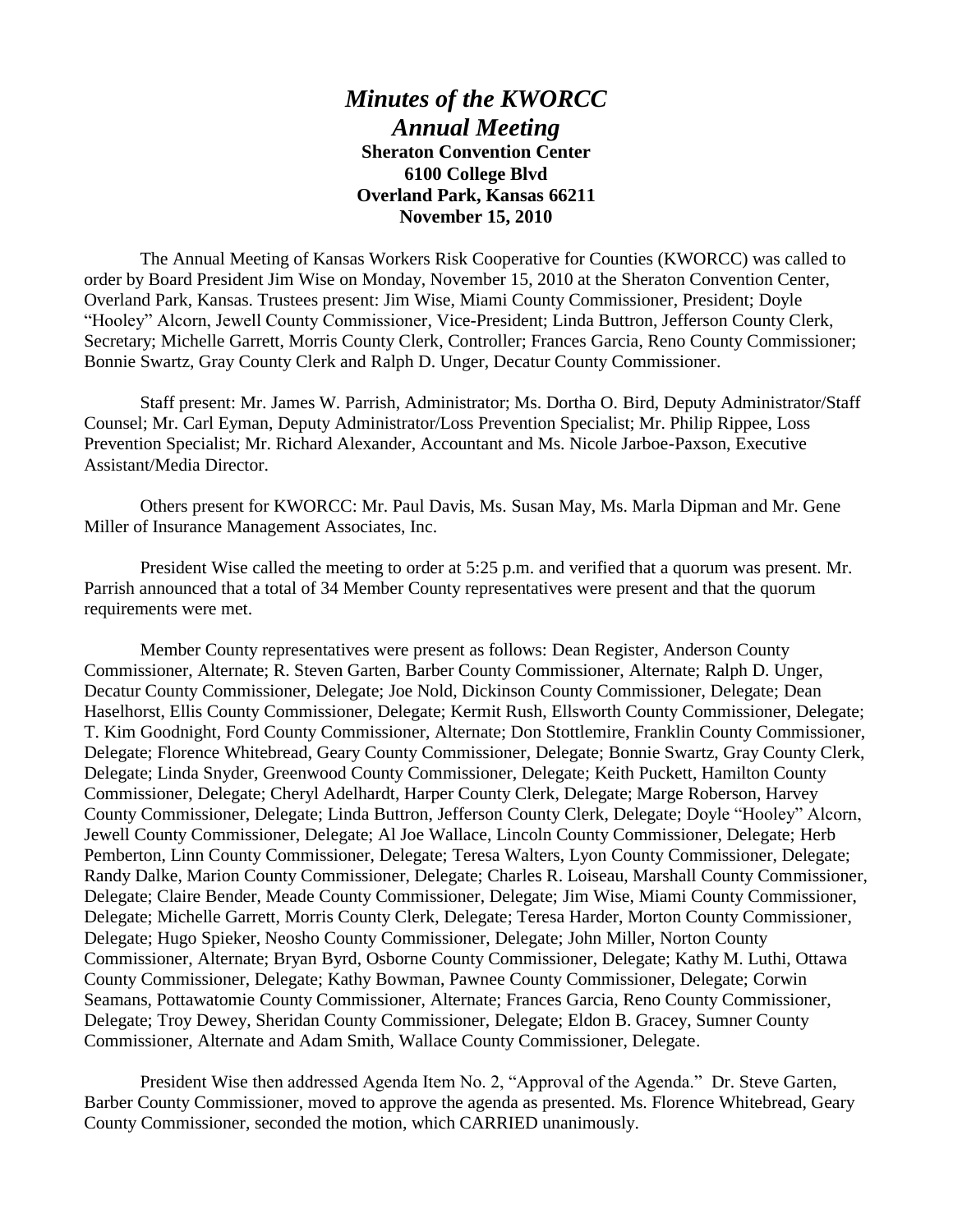## *Minutes of the KWORCC Annual Meeting* **Sheraton Convention Center 6100 College Blvd Overland Park, Kansas 66211 November 15, 2010**

The Annual Meeting of Kansas Workers Risk Cooperative for Counties (KWORCC) was called to order by Board President Jim Wise on Monday, November 15, 2010 at the Sheraton Convention Center, Overland Park, Kansas. Trustees present: Jim Wise, Miami County Commissioner, President; Doyle "Hooley" Alcorn, Jewell County Commissioner, Vice-President; Linda Buttron, Jefferson County Clerk, Secretary; Michelle Garrett, Morris County Clerk, Controller; Frances Garcia, Reno County Commissioner; Bonnie Swartz, Gray County Clerk and Ralph D. Unger, Decatur County Commissioner.

Staff present: Mr. James W. Parrish, Administrator; Ms. Dortha O. Bird, Deputy Administrator/Staff Counsel; Mr. Carl Eyman, Deputy Administrator/Loss Prevention Specialist; Mr. Philip Rippee, Loss Prevention Specialist; Mr. Richard Alexander, Accountant and Ms. Nicole Jarboe-Paxson, Executive Assistant/Media Director.

Others present for KWORCC: Mr. Paul Davis, Ms. Susan May, Ms. Marla Dipman and Mr. Gene Miller of Insurance Management Associates, Inc.

President Wise called the meeting to order at 5:25 p.m. and verified that a quorum was present. Mr. Parrish announced that a total of 34 Member County representatives were present and that the quorum requirements were met.

Member County representatives were present as follows: Dean Register, Anderson County Commissioner, Alternate; R. Steven Garten, Barber County Commissioner, Alternate; Ralph D. Unger, Decatur County Commissioner, Delegate; Joe Nold, Dickinson County Commissioner, Delegate; Dean Haselhorst, Ellis County Commissioner, Delegate; Kermit Rush, Ellsworth County Commissioner, Delegate; T. Kim Goodnight, Ford County Commissioner, Alternate; Don Stottlemire, Franklin County Commissioner, Delegate; Florence Whitebread, Geary County Commissioner, Delegate; Bonnie Swartz, Gray County Clerk, Delegate; Linda Snyder, Greenwood County Commissioner, Delegate; Keith Puckett, Hamilton County Commissioner, Delegate; Cheryl Adelhardt, Harper County Clerk, Delegate; Marge Roberson, Harvey County Commissioner, Delegate; Linda Buttron, Jefferson County Clerk, Delegate; Doyle "Hooley" Alcorn, Jewell County Commissioner, Delegate; Al Joe Wallace, Lincoln County Commissioner, Delegate; Herb Pemberton, Linn County Commissioner, Delegate; Teresa Walters, Lyon County Commissioner, Delegate; Randy Dalke, Marion County Commissioner, Delegate; Charles R. Loiseau, Marshall County Commissioner, Delegate; Claire Bender, Meade County Commissioner, Delegate; Jim Wise, Miami County Commissioner, Delegate; Michelle Garrett, Morris County Clerk, Delegate; Teresa Harder, Morton County Commissioner, Delegate; Hugo Spieker, Neosho County Commissioner, Delegate; John Miller, Norton County Commissioner, Alternate; Bryan Byrd, Osborne County Commissioner, Delegate; Kathy M. Luthi, Ottawa County Commissioner, Delegate; Kathy Bowman, Pawnee County Commissioner, Delegate; Corwin Seamans, Pottawatomie County Commissioner, Alternate; Frances Garcia, Reno County Commissioner, Delegate; Troy Dewey, Sheridan County Commissioner, Delegate; Eldon B. Gracey, Sumner County Commissioner, Alternate and Adam Smith, Wallace County Commissioner, Delegate.

President Wise then addressed Agenda Item No. 2, "Approval of the Agenda." Dr. Steve Garten, Barber County Commissioner, moved to approve the agenda as presented. Ms. Florence Whitebread, Geary County Commissioner, seconded the motion, which CARRIED unanimously.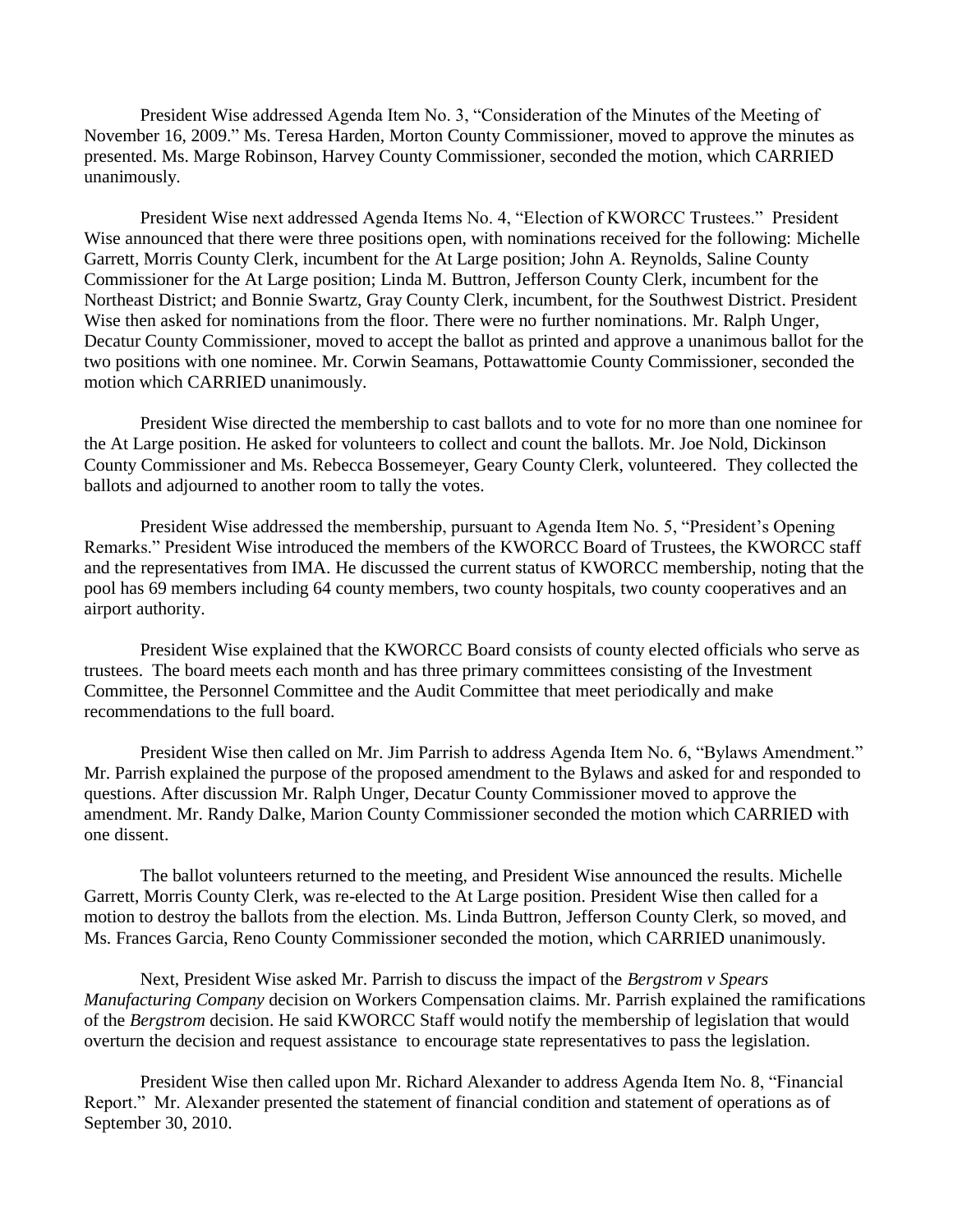President Wise addressed Agenda Item No. 3, "Consideration of the Minutes of the Meeting of November 16, 2009." Ms. Teresa Harden, Morton County Commissioner, moved to approve the minutes as presented. Ms. Marge Robinson, Harvey County Commissioner, seconded the motion, which CARRIED unanimously.

President Wise next addressed Agenda Items No. 4, "Election of KWORCC Trustees." President Wise announced that there were three positions open, with nominations received for the following: Michelle Garrett, Morris County Clerk, incumbent for the At Large position; John A. Reynolds, Saline County Commissioner for the At Large position; Linda M. Buttron, Jefferson County Clerk, incumbent for the Northeast District; and Bonnie Swartz, Gray County Clerk, incumbent, for the Southwest District. President Wise then asked for nominations from the floor. There were no further nominations. Mr. Ralph Unger, Decatur County Commissioner, moved to accept the ballot as printed and approve a unanimous ballot for the two positions with one nominee. Mr. Corwin Seamans, Pottawattomie County Commissioner, seconded the motion which CARRIED unanimously.

President Wise directed the membership to cast ballots and to vote for no more than one nominee for the At Large position. He asked for volunteers to collect and count the ballots. Mr. Joe Nold, Dickinson County Commissioner and Ms. Rebecca Bossemeyer, Geary County Clerk, volunteered. They collected the ballots and adjourned to another room to tally the votes.

President Wise addressed the membership, pursuant to Agenda Item No. 5, "President's Opening Remarks." President Wise introduced the members of the KWORCC Board of Trustees, the KWORCC staff and the representatives from IMA. He discussed the current status of KWORCC membership, noting that the pool has 69 members including 64 county members, two county hospitals, two county cooperatives and an airport authority.

President Wise explained that the KWORCC Board consists of county elected officials who serve as trustees. The board meets each month and has three primary committees consisting of the Investment Committee, the Personnel Committee and the Audit Committee that meet periodically and make recommendations to the full board.

President Wise then called on Mr. Jim Parrish to address Agenda Item No. 6, "Bylaws Amendment." Mr. Parrish explained the purpose of the proposed amendment to the Bylaws and asked for and responded to questions. After discussion Mr. Ralph Unger, Decatur County Commissioner moved to approve the amendment. Mr. Randy Dalke, Marion County Commissioner seconded the motion which CARRIED with one dissent.

The ballot volunteers returned to the meeting, and President Wise announced the results. Michelle Garrett, Morris County Clerk, was re-elected to the At Large position. President Wise then called for a motion to destroy the ballots from the election. Ms. Linda Buttron, Jefferson County Clerk, so moved, and Ms. Frances Garcia, Reno County Commissioner seconded the motion, which CARRIED unanimously.

Next, President Wise asked Mr. Parrish to discuss the impact of the *Bergstrom v Spears Manufacturing Company* decision on Workers Compensation claims. Mr. Parrish explained the ramifications of the *Bergstrom* decision. He said KWORCC Staff would notify the membership of legislation that would overturn the decision and request assistance to encourage state representatives to pass the legislation.

President Wise then called upon Mr. Richard Alexander to address Agenda Item No. 8, "Financial Report." Mr. Alexander presented the statement of financial condition and statement of operations as of September 30, 2010.